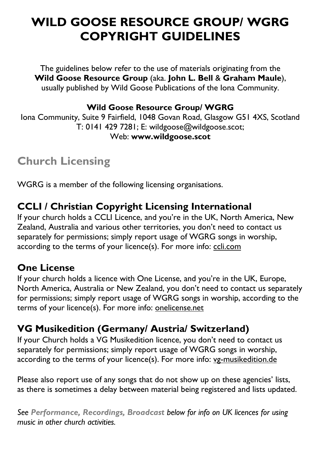# **WILD GOOSE RESOURCE GROUP/ WGRG COPYRIGHT GUIDELINES**

The guidelines below refer to the use of materials originating from the **Wild Goose Resource Group** (aka. **John L. Bell** & **Graham Maule**), usually published by Wild Goose Publications of the Iona Community.

#### **Wild Goose Resource Group/ WGRG**

Iona Community, Suite 9 Fairfield, 1048 Govan Road, Glasgow G51 4XS, Scotland T: 0141 429 7281; E: wildgoose@wildgoose.scot; Web: **www.wildgoose.scot**

# **Church Licensing**

WGRG is a member of the following licensing organisations.

### **CCLI / Christian Copyright Licensing International**

If your church holds a CCLI Licence, and you're in the UK, North America, New Zealand, Australia and various other territories, you don't need to contact us separately for permissions; simply report usage of WGRG songs in worship, according to the terms of your licence(s). For more info: ccli.com

### **One License**

If your church holds a licence with One License, and you're in the UK, Europe, North America, Australia or New Zealand, you don't need to contact us separately for permissions; simply report usage of WGRG songs in worship, according to the terms of your licence(s). For more info: onelicense.net

### **VG Musikedition (Germany/ Austria/ Switzerland)**

If your Church holds a VG Musikedition licence, you don't need to contact us separately for permissions; simply report usage of WGRG songs in worship, according to the terms of your licence(s). For more info: vg-musikedition.de

Please also report use of any songs that do not show up on these agencies' lists, as there is sometimes a delay between material being registered and lists updated.

*See Performance, Recordings, Broadcast below for info on UK licences for using music in other church activities.*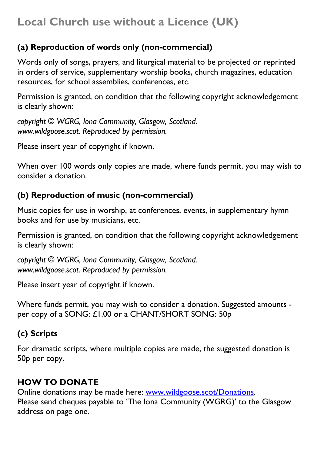## **Local Church use without a Licence (UK)**

#### **(a) Reproduction of words only (non-commercial)**

Words only of songs, prayers, and liturgical material to be projected or reprinted in orders of service, supplementary worship books, church magazines, education resources, for school assemblies, conferences, etc.

Permission is granted, on condition that the following copyright acknowledgement is clearly shown:

*copyright © WGRG, Iona Community, Glasgow, Scotland. www.wildgoose.scot. Reproduced by permission.* 

Please insert year of copyright if known.

When over 100 words only copies are made, where funds permit, you may wish to consider a donation.

#### **(b) Reproduction of music (non-commercial)**

Music copies for use in worship, at conferences, events, in supplementary hymn books and for use by musicians, etc.

Permission is granted, on condition that the following copyright acknowledgement is clearly shown:

*copyright © WGRG, Iona Community, Glasgow, Scotland. www.wildgoose.scot. Reproduced by permission.* 

Please insert year of copyright if known.

Where funds permit, you may wish to consider a donation. Suggested amounts per copy of a SONG: £1.00 or a CHANT/SHORT SONG: 50p

#### **(c) Scripts**

For dramatic scripts, where multiple copies are made, the suggested donation is 50p per copy.

#### **HOW TO DONATE**

Online donations may be made here: www.wildgoose.scot/Donations. Please send cheques payable to 'The Iona Community (WGRG)' to the Glasgow address on page one.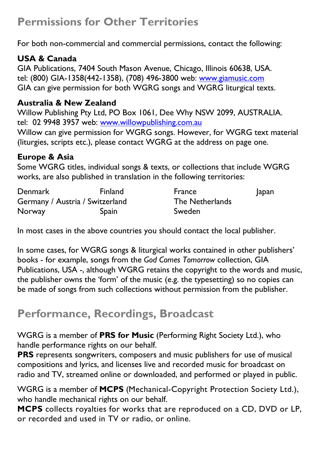## **Permissions for Other Territories**

For both non-commercial and commercial permissions, contact the following:

#### **USA & Canada**

GIA Publications, 7404 South Mason Avenue, Chicago, Illinois 60638, USA. tel: (800) GIA-1358(442-1358), (708) 496-3800 web: www.giamusic.com GIA can give permission for both WGRG songs and WGRG liturgical texts.

#### **Australia & New Zealand**

Willow Publishing Pty Ltd, PO Box 1061, Dee Why NSW 2099, AUSTRALIA. tel: 02 9948 3957 web: www.willowpublishing.com.au

Willow can give permission for WGRG songs. However, for WGRG text material (liturgies, scripts etc.), please contact WGRG at the address on page one.

#### **Europe & Asia**

Some WGRG titles, individual songs & texts, or collections that include WGRG works, are also published in translation in the following territories:

| Denmark                         | <b>Finland</b> | France          | Japan |
|---------------------------------|----------------|-----------------|-------|
| Germany / Austria / Switzerland |                | The Netherlands |       |
| Norway                          | Spain          | Sweden          |       |

In most cases in the above countries you should contact the local publisher.

In some cases, for WGRG songs & liturgical works contained in other publishers' books - for example, songs from the *God Comes Tomorrow* collection, GIA Publications, USA -, although WGRG retains the copyright to the words and music, the publisher owns the 'form' of the music (e.g. the typesetting) so no copies can be made of songs from such collections without permission from the publisher.

## **Performance, Recordings, Broadcast**

WGRG is a member of **PRS for Music** (Performing Right Society Ltd.), who handle performance rights on our behalf.

**PRS** represents songwriters, composers and music publishers for use of musical compositions and lyrics, and licenses live and recorded music for broadcast on radio and TV, streamed online or downloaded, and performed or played in public.

WGRG is a member of **MCPS** (Mechanical-Copyright Protection Society Ltd.), who handle mechanical rights on our behalf.

**MCPS** collects royalties for works that are reproduced on a CD, DVD or LP, or recorded and used in TV or radio, or online.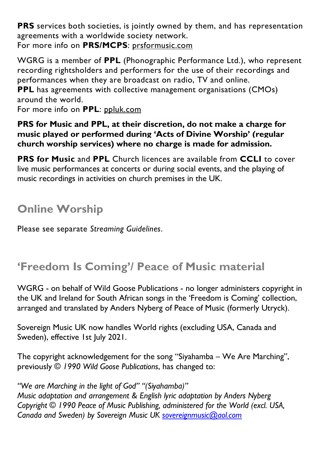**PRS** services both societies, is jointly owned by them, and has representation agreements with a worldwide society network. For more info on **PRS/MCPS**: prsformusic.com

WGRG is a member of **PPL** (Phonographic Performance Ltd.), who represent recording rightsholders and performers for the use of their recordings and performances when they are broadcast on radio, TV and online.

**PPL** has agreements with collective management organisations (CMOs) around the world.

For more info on **PPL**: ppluk.com

**PRS for Music and PPL, at their discretion, do not make a charge for music played or performed during 'Acts of Divine Worship' (regular church worship services) where no charge is made for admission.** 

**PRS for Music and PPL** Church licences are available from **CCLI** to cover live music performances at concerts or during social events, and the playing of music recordings in activities on church premises in the UK.

# **Online Worship**

Please see separate *Streaming Guidelines*.

# **'Freedom Is Coming'/ Peace of Music material**

WGRG - on behalf of Wild Goose Publications - no longer administers copyright in the UK and Ireland for South African songs in the 'Freedom is Coming' collection, arranged and translated by Anders Nyberg of Peace of Music (formerly Utryck).

Sovereign Music UK now handles World rights (excluding USA, Canada and Sweden), effective 1st July 2021.

The copyright acknowledgement for the song "Siyahamba – We Are Marching", previously *© 1990 Wild Goose Publications*, has changed to:

*"We are Marching in the light of God" "(Siyahamba)" Music adaptation and arrangement & English lyric adaptation by Anders Nyberg Copyright © 1990 Peace of Music Publishing, administered for the World (excl. USA, Canada and Sweden) by Sovereign Music UK sovereignmusic@aol.com*